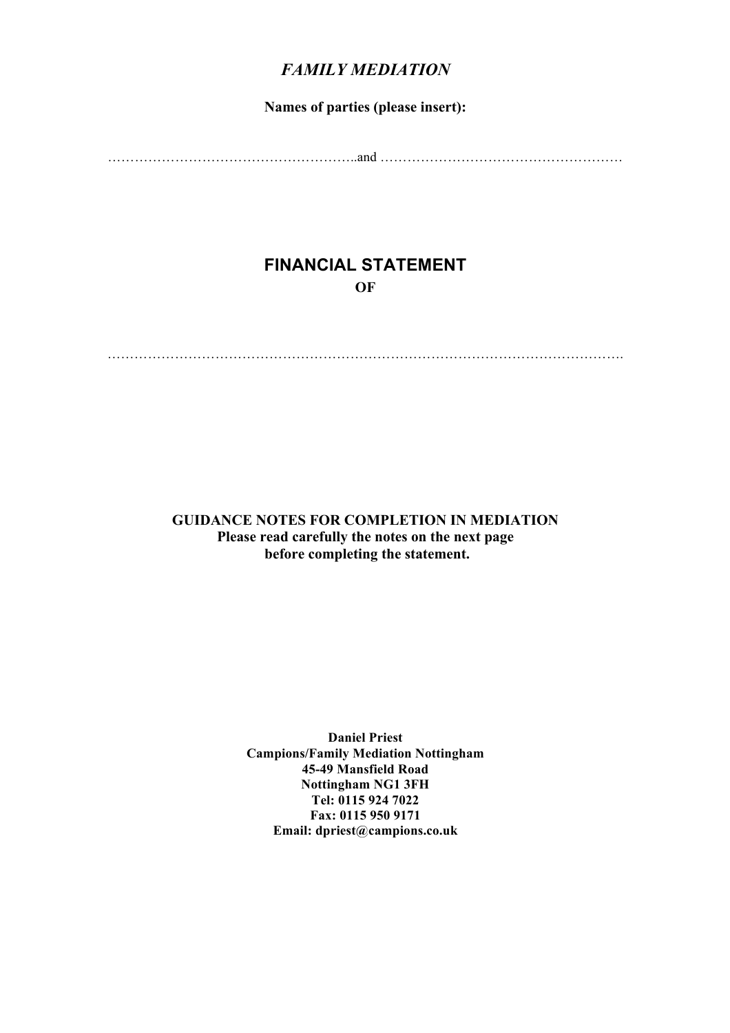## *FAMILY MEDIATION*

#### **Names of parties (please insert):**

………………………………………………..and ………………………………………………

## **FINANCIAL STATEMENT OF**

…………………………………………………………………………………………………….

**GUIDANCE NOTES FOR COMPLETION IN MEDIATION Please read carefully the notes on the next page before completing the statement.**

> **Daniel Priest Campions/Family Mediation Nottingham 45-49 Mansfield Road Nottingham NG1 3FH Tel: 0115 924 7022 Fax: 0115 950 9171 Email: dpriest@campions.co.uk**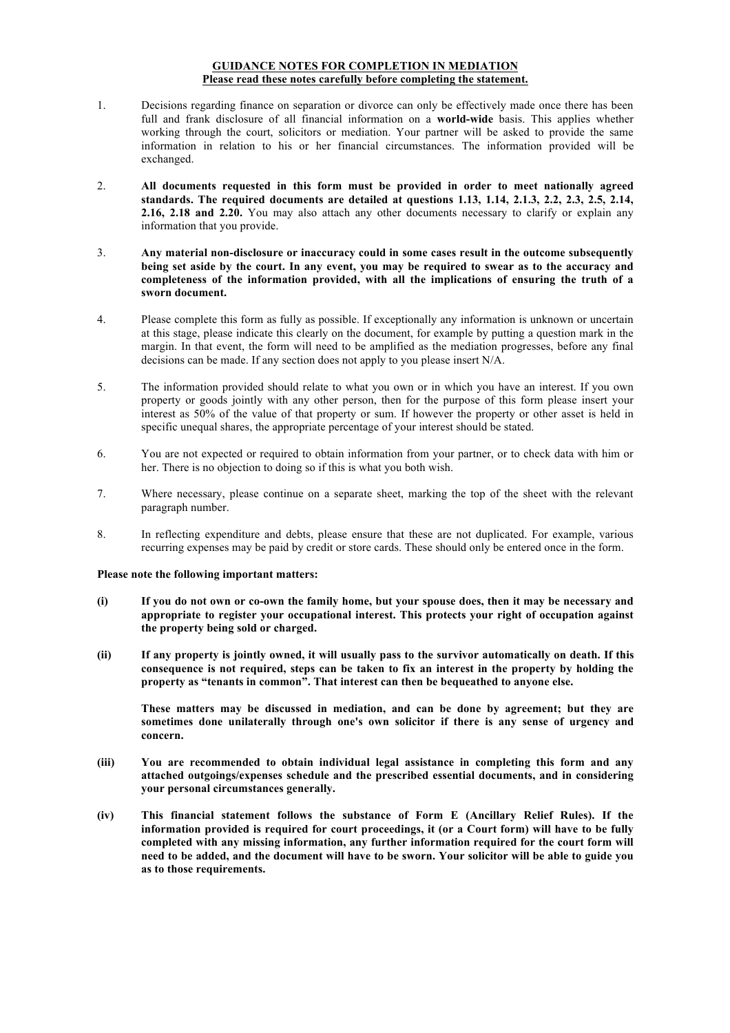#### **GUIDANCE NOTES FOR COMPLETION IN MEDIATION Please read these notes carefully before completing the statement.**

- 1. Decisions regarding finance on separation or divorce can only be effectively made once there has been full and frank disclosure of all financial information on a **world-wide** basis. This applies whether working through the court, solicitors or mediation. Your partner will be asked to provide the same information in relation to his or her financial circumstances. The information provided will be exchanged.
- 2. **All documents requested in this form must be provided in order to meet nationally agreed standards. The required documents are detailed at questions 1.13, 1.14, 2.1.3, 2.2, 2.3, 2.5, 2.14, 2.16, 2.18 and 2.20.** You may also attach any other documents necessary to clarify or explain any information that you provide.
- 3. **Any material non-disclosure or inaccuracy could in some cases result in the outcome subsequently being set aside by the court. In any event, you may be required to swear as to the accuracy and completeness of the information provided, with all the implications of ensuring the truth of a sworn document.**
- 4. Please complete this form as fully as possible. If exceptionally any information is unknown or uncertain at this stage, please indicate this clearly on the document, for example by putting a question mark in the margin. In that event, the form will need to be amplified as the mediation progresses, before any final decisions can be made. If any section does not apply to you please insert N/A.
- 5. The information provided should relate to what you own or in which you have an interest. If you own property or goods jointly with any other person, then for the purpose of this form please insert your interest as 50% of the value of that property or sum. If however the property or other asset is held in specific unequal shares, the appropriate percentage of your interest should be stated.
- 6. You are not expected or required to obtain information from your partner, or to check data with him or her. There is no objection to doing so if this is what you both wish.
- 7. Where necessary, please continue on a separate sheet, marking the top of the sheet with the relevant paragraph number.
- 8. In reflecting expenditure and debts, please ensure that these are not duplicated. For example, various recurring expenses may be paid by credit or store cards. These should only be entered once in the form.

#### **Please note the following important matters:**

- **(i) If you do not own or co-own the family home, but your spouse does, then it may be necessary and appropriate to register your occupational interest. This protects your right of occupation against the property being sold or charged.**
- **(ii) If any property is jointly owned, it will usually pass to the survivor automatically on death. If this consequence is not required, steps can be taken to fix an interest in the property by holding the property as "tenants in common". That interest can then be bequeathed to anyone else.**

**These matters may be discussed in mediation, and can be done by agreement; but they are sometimes done unilaterally through one's own solicitor if there is any sense of urgency and concern.** 

- **(iii) You are recommended to obtain individual legal assistance in completing this form and any attached outgoings/expenses schedule and the prescribed essential documents, and in considering your personal circumstances generally.**
- **(iv) This financial statement follows the substance of Form E (Ancillary Relief Rules). If the information provided is required for court proceedings, it (or a Court form) will have to be fully completed with any missing information, any further information required for the court form will need to be added, and the document will have to be sworn. Your solicitor will be able to guide you as to those requirements.**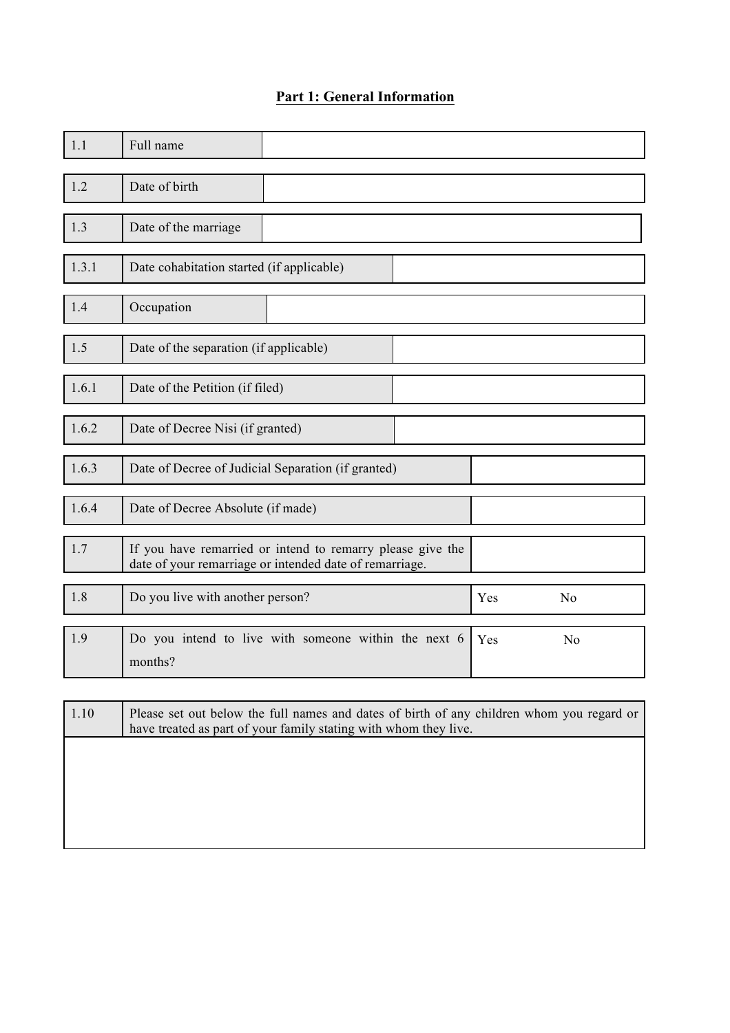# **Part 1: General Information**

| 1.1   | Full name                                                                                                                                                     |  |     |                |
|-------|---------------------------------------------------------------------------------------------------------------------------------------------------------------|--|-----|----------------|
| 1.2   | Date of birth                                                                                                                                                 |  |     |                |
| 1.3   | Date of the marriage                                                                                                                                          |  |     |                |
| 1.3.1 | Date cohabitation started (if applicable)                                                                                                                     |  |     |                |
| 1.4   | Occupation                                                                                                                                                    |  |     |                |
| 1.5   | Date of the separation (if applicable)                                                                                                                        |  |     |                |
| 1.6.1 | Date of the Petition (if filed)                                                                                                                               |  |     |                |
| 1.6.2 | Date of Decree Nisi (if granted)                                                                                                                              |  |     |                |
| 1.6.3 | Date of Decree of Judicial Separation (if granted)                                                                                                            |  |     |                |
| 1.6.4 | Date of Decree Absolute (if made)                                                                                                                             |  |     |                |
| 1.7   | If you have remarried or intend to remarry please give the<br>date of your remarriage or intended date of remarriage.                                         |  |     |                |
| 1.8   | Do you live with another person?                                                                                                                              |  | Yes | N <sub>0</sub> |
| 1.9   | Do you intend to live with someone within the next 6<br>months?                                                                                               |  | Yes | No             |
|       |                                                                                                                                                               |  |     |                |
| 1.10  | Please set out below the full names and dates of birth of any children whom you regard or<br>have treated as part of your family stating with whom they live. |  |     |                |
|       |                                                                                                                                                               |  |     |                |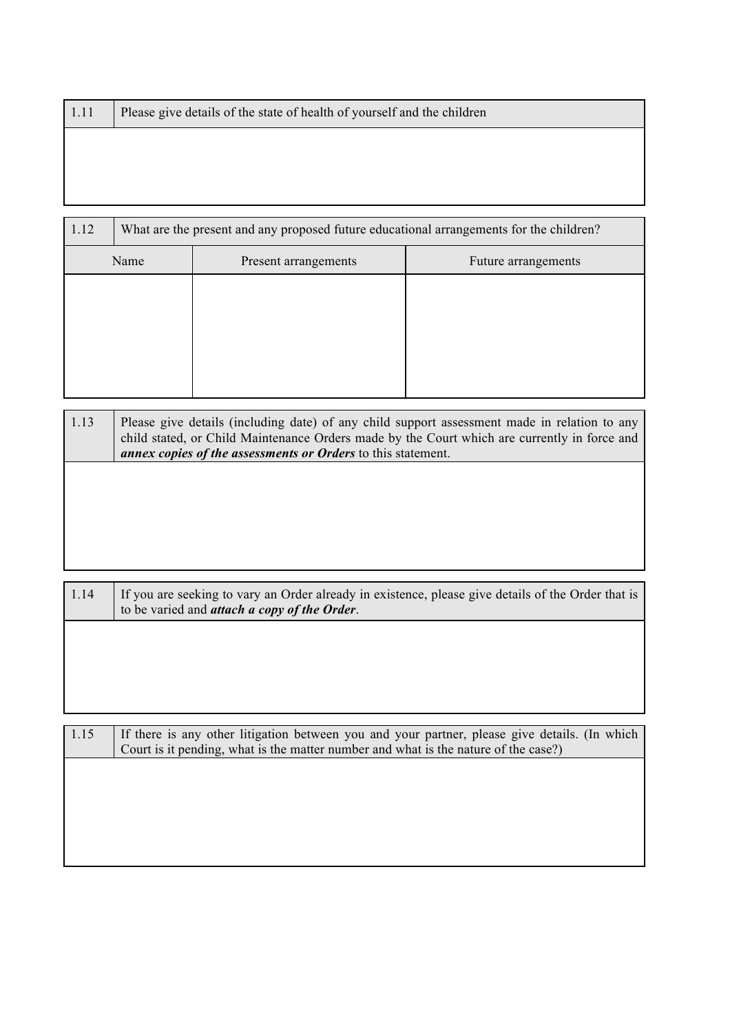| 1.11 | Please give details of the state of health of yourself and the children                 |  |  |
|------|-----------------------------------------------------------------------------------------|--|--|
|      |                                                                                         |  |  |
|      |                                                                                         |  |  |
|      |                                                                                         |  |  |
|      |                                                                                         |  |  |
| 112  | What are the present and any proposed future educational arrangements for the children? |  |  |

| 1.12 |  | what are the present and any proposed future educational arrangements for the children? |                     |  |  |
|------|--|-----------------------------------------------------------------------------------------|---------------------|--|--|
| Name |  | Present arrangements                                                                    | Future arrangements |  |  |
|      |  |                                                                                         |                     |  |  |
|      |  |                                                                                         |                     |  |  |
|      |  |                                                                                         |                     |  |  |
|      |  |                                                                                         |                     |  |  |
|      |  |                                                                                         |                     |  |  |

| 1.13 | Please give details (including date) of any child support assessment made in relation to any<br>child stated, or Child Maintenance Orders made by the Court which are currently in force and<br>annex copies of the assessments or Orders to this statement. |
|------|--------------------------------------------------------------------------------------------------------------------------------------------------------------------------------------------------------------------------------------------------------------|
|      |                                                                                                                                                                                                                                                              |
|      |                                                                                                                                                                                                                                                              |
|      |                                                                                                                                                                                                                                                              |

| 1.14 | If you are seeking to vary an Order already in existence, please give details of the Order that is<br>to be varied and <i>attach a copy of the Order</i> . |
|------|------------------------------------------------------------------------------------------------------------------------------------------------------------|
|      |                                                                                                                                                            |
|      |                                                                                                                                                            |
|      |                                                                                                                                                            |
|      |                                                                                                                                                            |
| 1.15 | If there is any other litigation between you and your partner, please give details. (In which                                                              |

| .15 | If there is any other litigation between you and your partner, please give details. (In which |
|-----|-----------------------------------------------------------------------------------------------|
|     | Court is it pending, what is the matter number and what is the nature of the case?)           |
|     |                                                                                               |
|     |                                                                                               |
|     |                                                                                               |
|     |                                                                                               |
|     |                                                                                               |
|     |                                                                                               |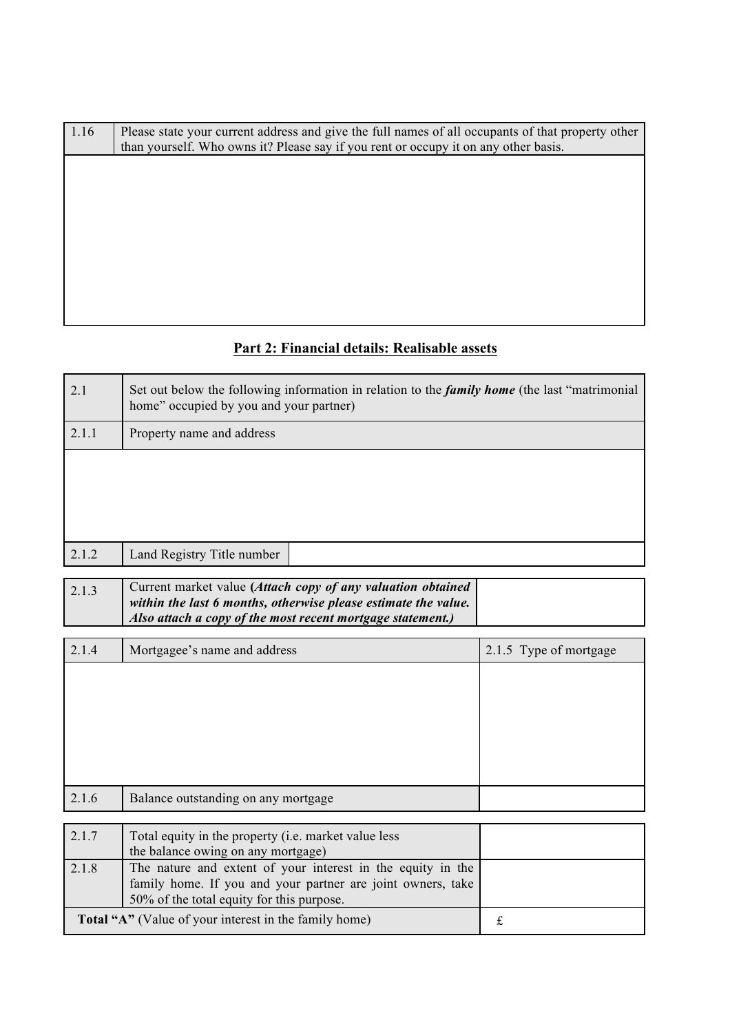| 1.16 | Please state your current address and give the full names of all occupants of that property other<br>than yourself. Who owns it? Please say if you rent or occupy it on any other basis. |
|------|------------------------------------------------------------------------------------------------------------------------------------------------------------------------------------------|
|      |                                                                                                                                                                                          |
|      |                                                                                                                                                                                          |
|      |                                                                                                                                                                                          |
|      |                                                                                                                                                                                          |
|      |                                                                                                                                                                                          |
|      |                                                                                                                                                                                          |

# **Part 2: Financial details: Realisable assets**

| 2.1   | Set out below the following information in relation to the <i>family home</i> (the last "matrimonial")<br>home" occupied by you and your partner) |                        |  |  |  |
|-------|---------------------------------------------------------------------------------------------------------------------------------------------------|------------------------|--|--|--|
| 2.1.1 | Property name and address                                                                                                                         |                        |  |  |  |
|       |                                                                                                                                                   |                        |  |  |  |
|       |                                                                                                                                                   |                        |  |  |  |
|       |                                                                                                                                                   |                        |  |  |  |
| 2.1.2 | Land Registry Title number                                                                                                                        |                        |  |  |  |
|       |                                                                                                                                                   |                        |  |  |  |
| 2.1.3 | Current market value (Attach copy of any valuation obtained<br>within the last 6 months, otherwise please estimate the value.                     |                        |  |  |  |
|       | Also attach a copy of the most recent mortgage statement.)                                                                                        |                        |  |  |  |
| 2.1.4 | Mortgagee's name and address                                                                                                                      | 2.1.5 Type of mortgage |  |  |  |
|       |                                                                                                                                                   |                        |  |  |  |
|       |                                                                                                                                                   |                        |  |  |  |
|       |                                                                                                                                                   |                        |  |  |  |
|       |                                                                                                                                                   |                        |  |  |  |
|       |                                                                                                                                                   |                        |  |  |  |
| 2.1.6 | Balance outstanding on any mortgage                                                                                                               |                        |  |  |  |
| 2.1.7 | Total equity in the property (i.e. market value less                                                                                              |                        |  |  |  |
|       | the balance owing on any mortgage)                                                                                                                |                        |  |  |  |
| 2.1.8 | The nature and extent of your interest in the equity in the                                                                                       |                        |  |  |  |
|       | family home. If you and your partner are joint owners, take<br>50% of the total equity for this purpose.                                          |                        |  |  |  |
|       | Total "A" (Value of your interest in the family home)<br>$\mathbf f$                                                                              |                        |  |  |  |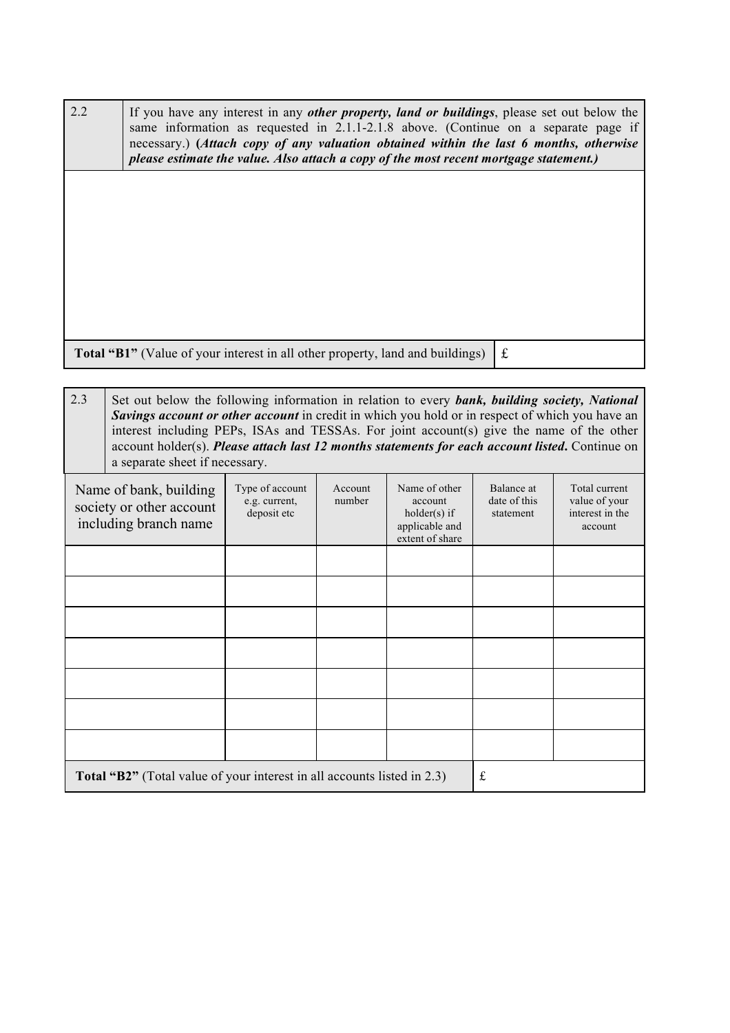| 2.2 | If you have any interest in any <i>other property, land or buildings</i> , please set out below the<br>same information as requested in $2.1.1 - 2.1.8$ above. (Continue on a separate page if<br>necessary.) (Attach copy of any valuation obtained within the last 6 months, otherwise<br>please estimate the value. Also attach a copy of the most recent mortgage statement.) |  |
|-----|-----------------------------------------------------------------------------------------------------------------------------------------------------------------------------------------------------------------------------------------------------------------------------------------------------------------------------------------------------------------------------------|--|
|     |                                                                                                                                                                                                                                                                                                                                                                                   |  |
|     |                                                                                                                                                                                                                                                                                                                                                                                   |  |
|     |                                                                                                                                                                                                                                                                                                                                                                                   |  |
|     | <b>Total "B1"</b> (Value of your interest in all other property, land and buildings)                                                                                                                                                                                                                                                                                              |  |

| 2.3                                                                                                                                                                                                                                  | Set out below the following information in relation to every bank, building society, National<br>Savings account or other account in credit in which you hold or in respect of which you have an<br>interest including PEPs, ISAs and TESSAs. For joint account(s) give the name of the other<br>account holder(s). Please attach last 12 months statements for each account listed. Continue on<br>a separate sheet if necessary. |  |  |                                         |                                                              |  |
|--------------------------------------------------------------------------------------------------------------------------------------------------------------------------------------------------------------------------------------|------------------------------------------------------------------------------------------------------------------------------------------------------------------------------------------------------------------------------------------------------------------------------------------------------------------------------------------------------------------------------------------------------------------------------------|--|--|-----------------------------------------|--------------------------------------------------------------|--|
| Type of account<br>Name of other<br>Account<br>Name of bank, building<br>number<br>e.g. current,<br>account<br>society or other account<br>deposit etc<br>holder(s) if<br>including branch name<br>applicable and<br>extent of share |                                                                                                                                                                                                                                                                                                                                                                                                                                    |  |  | Balance at<br>date of this<br>statement | Total current<br>value of your<br>interest in the<br>account |  |
|                                                                                                                                                                                                                                      |                                                                                                                                                                                                                                                                                                                                                                                                                                    |  |  |                                         |                                                              |  |
|                                                                                                                                                                                                                                      |                                                                                                                                                                                                                                                                                                                                                                                                                                    |  |  |                                         |                                                              |  |
|                                                                                                                                                                                                                                      |                                                                                                                                                                                                                                                                                                                                                                                                                                    |  |  |                                         |                                                              |  |
|                                                                                                                                                                                                                                      |                                                                                                                                                                                                                                                                                                                                                                                                                                    |  |  |                                         |                                                              |  |
|                                                                                                                                                                                                                                      |                                                                                                                                                                                                                                                                                                                                                                                                                                    |  |  |                                         |                                                              |  |
|                                                                                                                                                                                                                                      |                                                                                                                                                                                                                                                                                                                                                                                                                                    |  |  |                                         |                                                              |  |
|                                                                                                                                                                                                                                      |                                                                                                                                                                                                                                                                                                                                                                                                                                    |  |  |                                         |                                                              |  |
|                                                                                                                                                                                                                                      | <b>Total "B2"</b> (Total value of your interest in all accounts listed in 2.3)                                                                                                                                                                                                                                                                                                                                                     |  |  |                                         | £                                                            |  |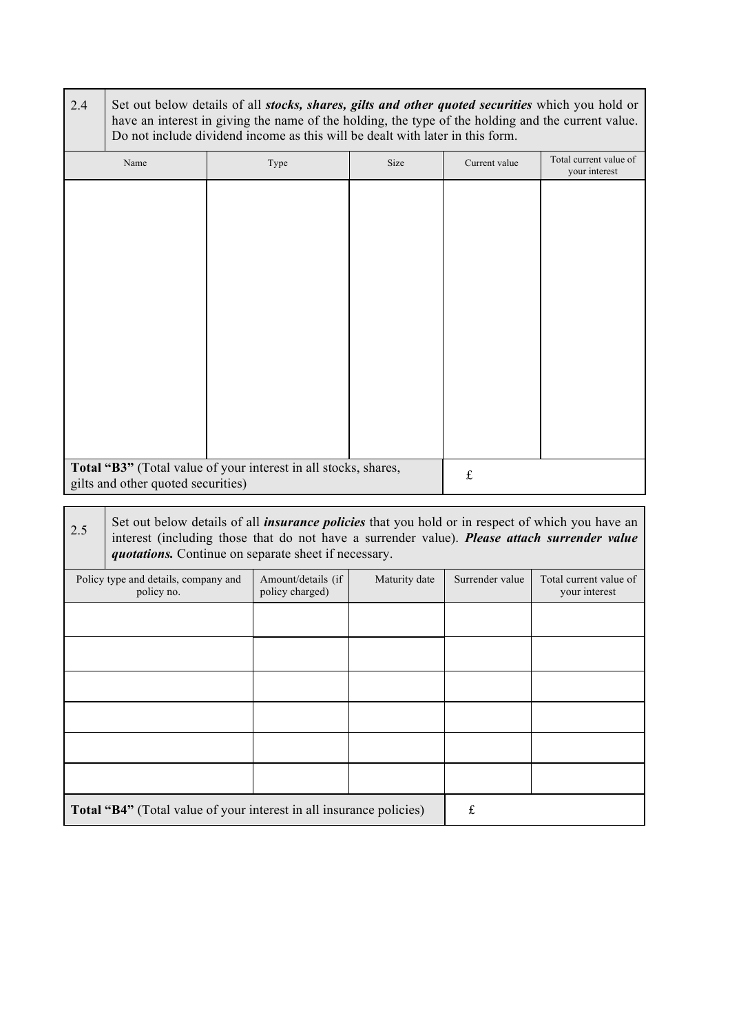| 2.4 | Set out below details of all stocks, shares, gilts and other quoted securities which you hold or<br>have an interest in giving the name of the holding, the type of the holding and the current value.<br>Do not include dividend income as this will be dealt with later in this form. |  |                                                      |               |                 |                                                                                                                                                                                                         |
|-----|-----------------------------------------------------------------------------------------------------------------------------------------------------------------------------------------------------------------------------------------------------------------------------------------|--|------------------------------------------------------|---------------|-----------------|---------------------------------------------------------------------------------------------------------------------------------------------------------------------------------------------------------|
|     | Name                                                                                                                                                                                                                                                                                    |  | Type                                                 | Size          | Current value   | Total current value of<br>your interest                                                                                                                                                                 |
|     |                                                                                                                                                                                                                                                                                         |  |                                                      |               |                 |                                                                                                                                                                                                         |
|     | Total "B3" (Total value of your interest in all stocks, shares,<br>gilts and other quoted securities)                                                                                                                                                                                   |  |                                                      |               | $\pounds$       |                                                                                                                                                                                                         |
| 2.5 |                                                                                                                                                                                                                                                                                         |  | quotations. Continue on separate sheet if necessary. |               |                 | Set out below details of all <i>insurance policies</i> that you hold or in respect of which you have an<br>interest (including those that do not have a surrender value). Please attach surrender value |
|     | Policy type and details, company and<br>policy no.                                                                                                                                                                                                                                      |  | Amount/details (if<br>policy charged)                | Maturity date | Surrender value | Total current value of<br>your interest                                                                                                                                                                 |
|     |                                                                                                                                                                                                                                                                                         |  |                                                      |               |                 |                                                                                                                                                                                                         |
|     |                                                                                                                                                                                                                                                                                         |  |                                                      |               |                 |                                                                                                                                                                                                         |
|     |                                                                                                                                                                                                                                                                                         |  |                                                      |               |                 |                                                                                                                                                                                                         |
|     |                                                                                                                                                                                                                                                                                         |  |                                                      |               |                 |                                                                                                                                                                                                         |
|     |                                                                                                                                                                                                                                                                                         |  |                                                      |               |                 |                                                                                                                                                                                                         |
|     |                                                                                                                                                                                                                                                                                         |  |                                                      |               |                 |                                                                                                                                                                                                         |
|     | Total "B4" (Total value of your interest in all insurance policies)                                                                                                                                                                                                                     |  |                                                      |               | $\mathbf f$     |                                                                                                                                                                                                         |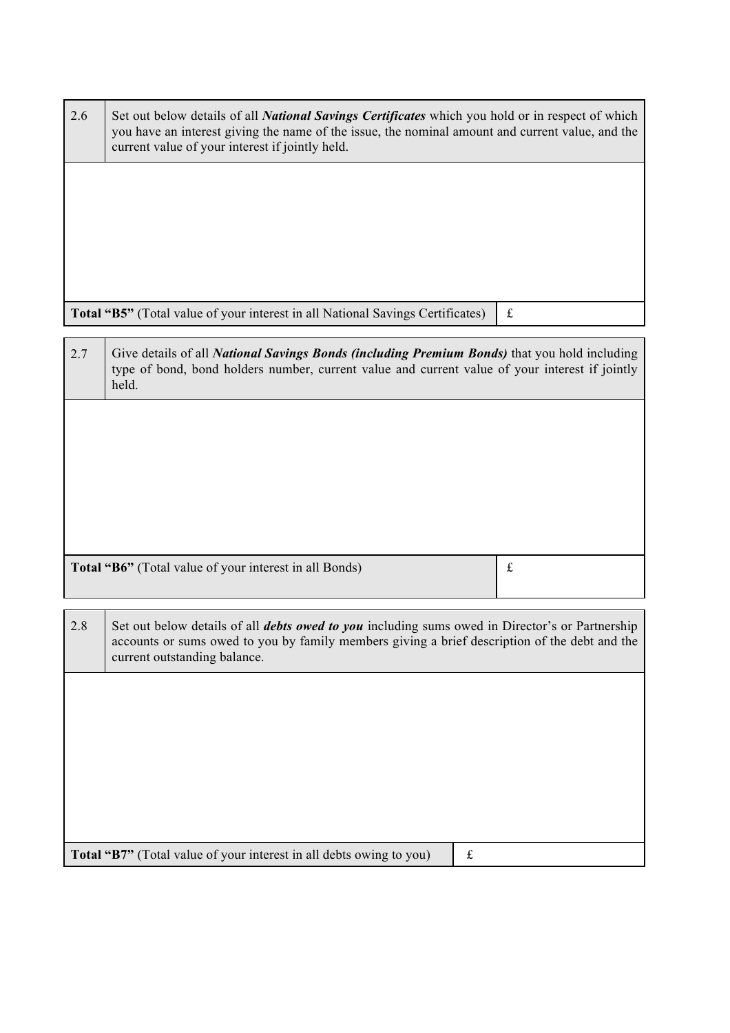| 2.6 | Set out below details of all National Savings Certificates which you hold or in respect of which<br>you have an interest giving the name of the issue, the nominal amount and current value, and the<br>current value of your interest if jointly held. |             |  |  |
|-----|---------------------------------------------------------------------------------------------------------------------------------------------------------------------------------------------------------------------------------------------------------|-------------|--|--|
|     |                                                                                                                                                                                                                                                         |             |  |  |
|     |                                                                                                                                                                                                                                                         |             |  |  |
|     |                                                                                                                                                                                                                                                         |             |  |  |
|     | Total "B5" (Total value of your interest in all National Savings Certificates)                                                                                                                                                                          | $\mathbf f$ |  |  |
| 2.7 | Give details of all <i>National Savings Bonds (including Premium Bonds)</i> that you hold including<br>type of bond, bond holders number, current value and current value of your interest if jointly<br>held.                                          |             |  |  |
|     |                                                                                                                                                                                                                                                         |             |  |  |
|     |                                                                                                                                                                                                                                                         |             |  |  |
|     |                                                                                                                                                                                                                                                         |             |  |  |
|     |                                                                                                                                                                                                                                                         |             |  |  |
|     | Total "B6" (Total value of your interest in all Bonds)                                                                                                                                                                                                  | $\pounds$   |  |  |
| 2.8 | Set out below details of all <i>debts owed to you</i> including sums owed in Director's or Partnership<br>accounts or sums owed to you by family members giving a brief description of the debt and the<br>current outstanding balance.                 |             |  |  |
|     |                                                                                                                                                                                                                                                         |             |  |  |
|     |                                                                                                                                                                                                                                                         |             |  |  |
|     |                                                                                                                                                                                                                                                         |             |  |  |
|     |                                                                                                                                                                                                                                                         |             |  |  |
|     |                                                                                                                                                                                                                                                         |             |  |  |
|     | Total "B7" (Total value of your interest in all debts owing to you)<br>$\pounds$                                                                                                                                                                        |             |  |  |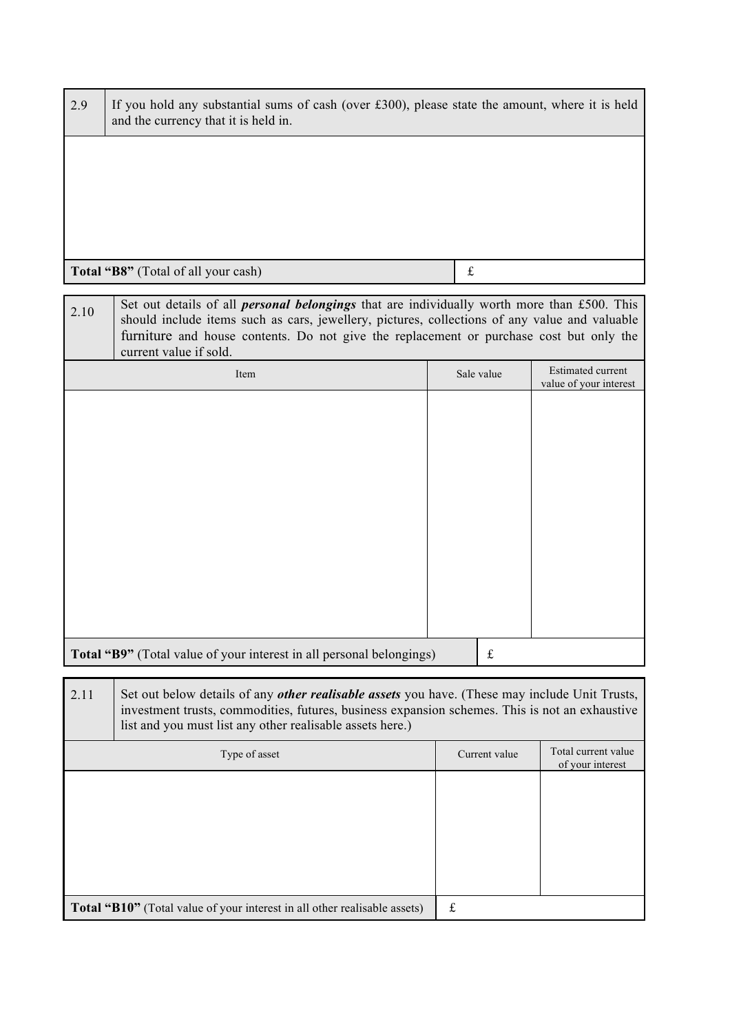| 2.9                                                                                                                                                                                                                                                                                                                              | If you hold any substantial sums of cash (over $£300$ ), please state the amount, where it is held<br>and the currency that it is held in.                                                                                                                           |               |                                                    |
|----------------------------------------------------------------------------------------------------------------------------------------------------------------------------------------------------------------------------------------------------------------------------------------------------------------------------------|----------------------------------------------------------------------------------------------------------------------------------------------------------------------------------------------------------------------------------------------------------------------|---------------|----------------------------------------------------|
|                                                                                                                                                                                                                                                                                                                                  |                                                                                                                                                                                                                                                                      |               |                                                    |
|                                                                                                                                                                                                                                                                                                                                  |                                                                                                                                                                                                                                                                      |               |                                                    |
|                                                                                                                                                                                                                                                                                                                                  |                                                                                                                                                                                                                                                                      |               |                                                    |
|                                                                                                                                                                                                                                                                                                                                  | Total "B8" (Total of all your cash)                                                                                                                                                                                                                                  | $\mathbf f$   |                                                    |
| Set out details of all <i>personal belongings</i> that are individually worth more than £500. This<br>2.10<br>should include items such as cars, jewellery, pictures, collections of any value and valuable<br>furniture and house contents. Do not give the replacement or purchase cost but only the<br>current value if sold. |                                                                                                                                                                                                                                                                      |               |                                                    |
|                                                                                                                                                                                                                                                                                                                                  | Item                                                                                                                                                                                                                                                                 | Sale value    | <b>Estimated current</b><br>value of your interest |
|                                                                                                                                                                                                                                                                                                                                  |                                                                                                                                                                                                                                                                      |               |                                                    |
|                                                                                                                                                                                                                                                                                                                                  |                                                                                                                                                                                                                                                                      |               |                                                    |
|                                                                                                                                                                                                                                                                                                                                  |                                                                                                                                                                                                                                                                      |               |                                                    |
|                                                                                                                                                                                                                                                                                                                                  |                                                                                                                                                                                                                                                                      |               |                                                    |
|                                                                                                                                                                                                                                                                                                                                  |                                                                                                                                                                                                                                                                      |               |                                                    |
|                                                                                                                                                                                                                                                                                                                                  |                                                                                                                                                                                                                                                                      |               |                                                    |
|                                                                                                                                                                                                                                                                                                                                  |                                                                                                                                                                                                                                                                      |               |                                                    |
|                                                                                                                                                                                                                                                                                                                                  | Total "B9" (Total value of your interest in all personal belongings)                                                                                                                                                                                                 | $\mathbf f$   |                                                    |
| 2.11                                                                                                                                                                                                                                                                                                                             | Set out below details of any <i>other realisable assets</i> you have. (These may include Unit Trusts,<br>investment trusts, commodities, futures, business expansion schemes. This is not an exhaustive<br>list and you must list any other realisable assets here.) |               |                                                    |
|                                                                                                                                                                                                                                                                                                                                  | Type of asset                                                                                                                                                                                                                                                        | Current value | Total current value<br>of your interest            |
|                                                                                                                                                                                                                                                                                                                                  |                                                                                                                                                                                                                                                                      |               |                                                    |
|                                                                                                                                                                                                                                                                                                                                  |                                                                                                                                                                                                                                                                      |               |                                                    |
|                                                                                                                                                                                                                                                                                                                                  |                                                                                                                                                                                                                                                                      |               |                                                    |
|                                                                                                                                                                                                                                                                                                                                  | Total "B10" (Total value of your interest in all other realisable assets)                                                                                                                                                                                            | $\pounds$     |                                                    |
|                                                                                                                                                                                                                                                                                                                                  |                                                                                                                                                                                                                                                                      |               |                                                    |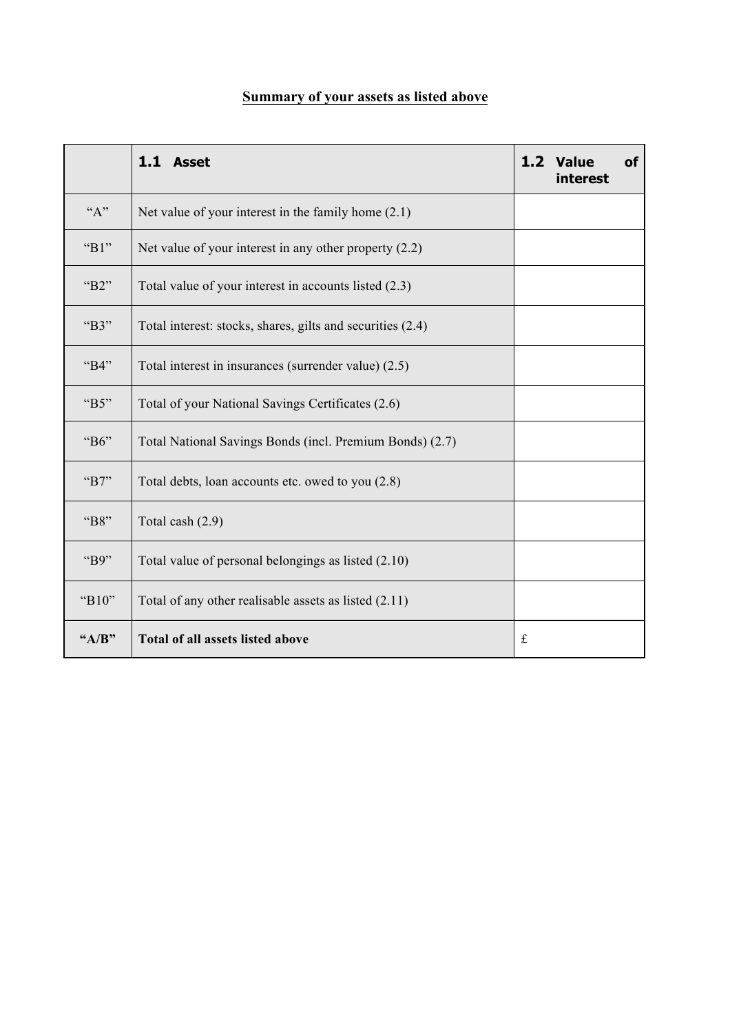|         | 1.1 Asset                                                  |             | 1.2 Value<br>interest | <b>of</b> |
|---------|------------------------------------------------------------|-------------|-----------------------|-----------|
| "A"     | Net value of your interest in the family home $(2.1)$      |             |                       |           |
| " $B1"$ | Net value of your interest in any other property $(2.2)$   |             |                       |           |
| "B2"    | Total value of your interest in accounts listed (2.3)      |             |                       |           |
| "B3"    | Total interest: stocks, shares, gilts and securities (2.4) |             |                       |           |
| "B4"    | Total interest in insurances (surrender value) (2.5)       |             |                       |           |
| "B5"    | Total of your National Savings Certificates (2.6)          |             |                       |           |
| "B6"    | Total National Savings Bonds (incl. Premium Bonds) (2.7)   |             |                       |           |
| "B7"    | Total debts, loan accounts etc. owed to you (2.8)          |             |                       |           |
| "B8"    | Total cash (2.9)                                           |             |                       |           |
| "B9"    | Total value of personal belongings as listed (2.10)        |             |                       |           |
| "B10"   | Total of any other realisable assets as listed (2.11)      |             |                       |           |
| $A/B$ " | <b>Total of all assets listed above</b>                    | $\mathbf f$ |                       |           |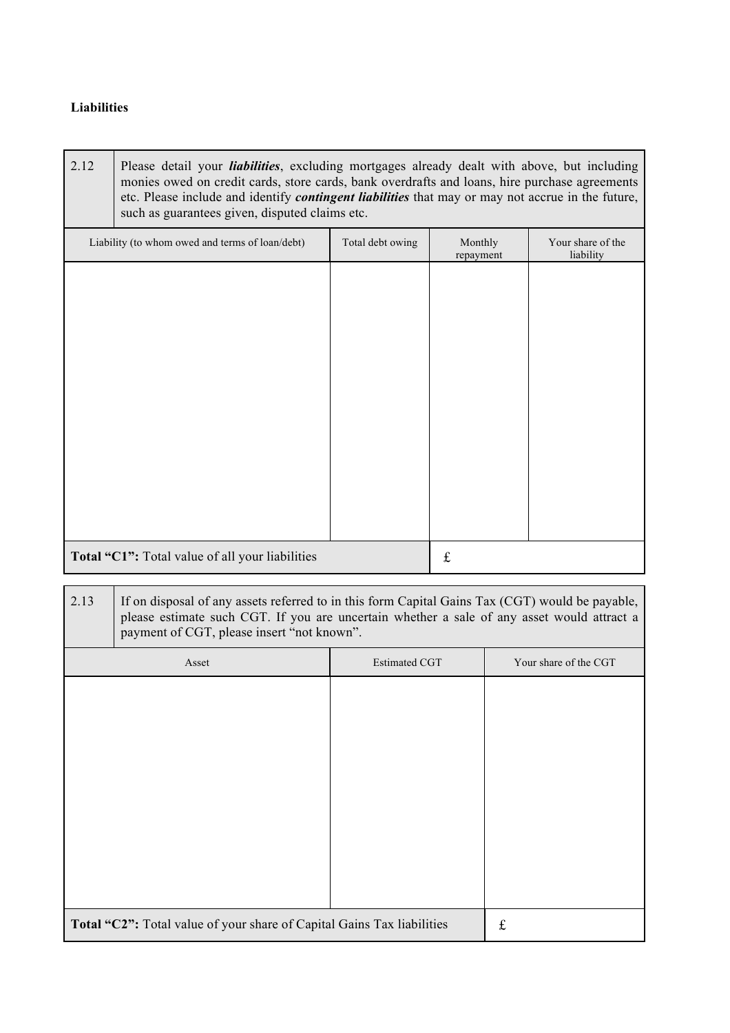### **Liabilities**

| 2.12 | Please detail your <i>liabilities</i> , excluding mortgages already dealt with above, but including      |
|------|----------------------------------------------------------------------------------------------------------|
|      | monies owed on credit cards, store cards, bank overdrafts and loans, hire purchase agreements            |
|      | etc. Please include and identify <i>contingent liabilities</i> that may or may not accrue in the future, |
|      | such as guarantees given, disputed claims etc.                                                           |

| Liability (to whom owed and terms of loan/debt) | Total debt owing | Monthly<br>repayment | Your share of the<br>liability |
|-------------------------------------------------|------------------|----------------------|--------------------------------|
|                                                 |                  |                      |                                |
|                                                 |                  |                      |                                |
|                                                 |                  |                      |                                |
|                                                 |                  |                      |                                |
|                                                 |                  |                      |                                |
|                                                 |                  |                      |                                |
|                                                 |                  |                      |                                |
|                                                 |                  |                      |                                |
| Total "C1": Total value of all your liabilities |                  | $\mathbf f$          |                                |

2.13 If on disposal of any assets referred to in this form Capital Gains Tax (CGT) would be payable, please estimate such CGT. If you are uncertain whether a sale of any asset would attract a payment of CGT, please insert "not known".

| Asset                                                                  | <b>Estimated CGT</b> | Your share of the CGT |
|------------------------------------------------------------------------|----------------------|-----------------------|
|                                                                        |                      |                       |
|                                                                        |                      |                       |
|                                                                        |                      |                       |
|                                                                        |                      |                       |
|                                                                        |                      |                       |
|                                                                        |                      |                       |
|                                                                        |                      |                       |
|                                                                        |                      |                       |
| Total "C2": Total value of your share of Capital Gains Tax liabilities |                      | £                     |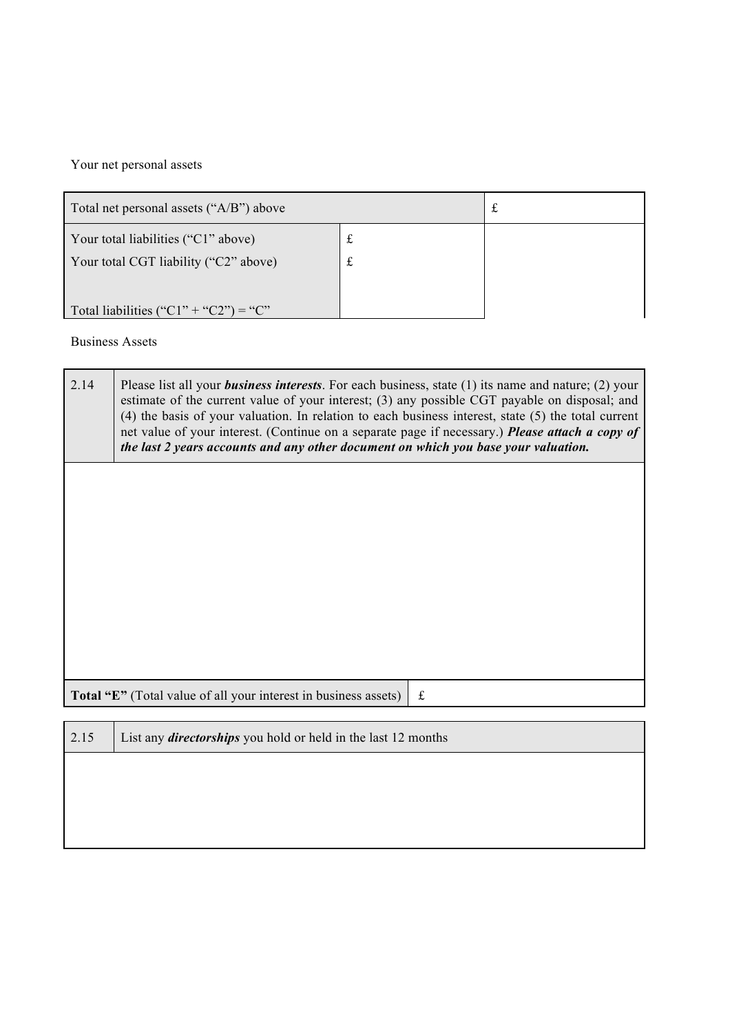Your net personal assets

| Total net personal assets ("A/B") above    |   | ىم |
|--------------------------------------------|---|----|
| Your total liabilities ("C1" above)        | £ |    |
| Your total CGT liability ("C2" above)<br>£ |   |    |
|                                            |   |    |
| Total liabilities ("C1" + "C2") = "C"      |   |    |

Business Assets

| 2.14                                                                         | Please list all your <i>business interests</i> . For each business, state $(1)$ its name and nature; $(2)$ your<br>estimate of the current value of your interest; (3) any possible CGT payable on disposal; and<br>$(4)$ the basis of your valuation. In relation to each business interest, state $(5)$ the total current<br>net value of your interest. (Continue on a separate page if necessary.) Please attach a copy of<br>the last 2 years accounts and any other document on which you base your valuation. |   |  |
|------------------------------------------------------------------------------|----------------------------------------------------------------------------------------------------------------------------------------------------------------------------------------------------------------------------------------------------------------------------------------------------------------------------------------------------------------------------------------------------------------------------------------------------------------------------------------------------------------------|---|--|
|                                                                              |                                                                                                                                                                                                                                                                                                                                                                                                                                                                                                                      |   |  |
|                                                                              |                                                                                                                                                                                                                                                                                                                                                                                                                                                                                                                      |   |  |
|                                                                              |                                                                                                                                                                                                                                                                                                                                                                                                                                                                                                                      |   |  |
|                                                                              | Total "E" (Total value of all your interest in business assets)                                                                                                                                                                                                                                                                                                                                                                                                                                                      | £ |  |
| 2.15<br>List any <i>directorships</i> you hold or held in the last 12 months |                                                                                                                                                                                                                                                                                                                                                                                                                                                                                                                      |   |  |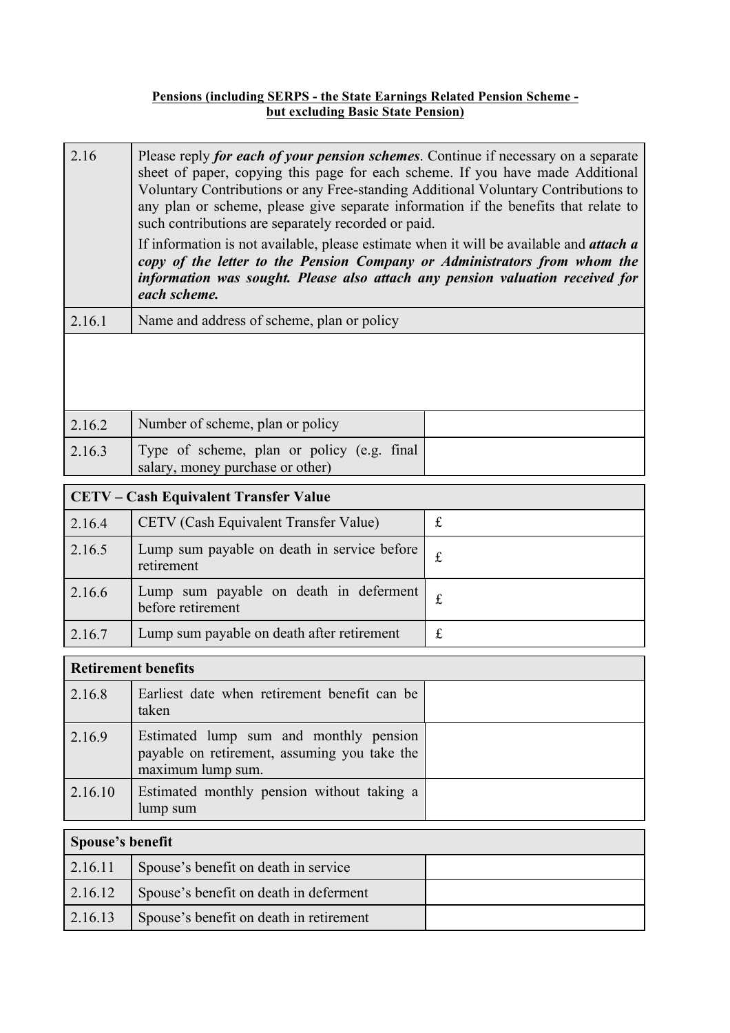#### **Pensions (including SERPS - the State Earnings Related Pension Scheme but excluding Basic State Pension)**

| 2.16   | Please reply for each of your pension schemes. Continue if necessary on a separate<br>sheet of paper, copying this page for each scheme. If you have made Additional<br>Voluntary Contributions or any Free-standing Additional Voluntary Contributions to<br>any plan or scheme, please give separate information if the benefits that relate to<br>such contributions are separately recorded or paid.<br>If information is not available, please estimate when it will be available and <i>attach a</i><br>copy of the letter to the Pension Company or Administrators from whom the<br>information was sought. Please also attach any pension valuation received for<br>each scheme. |
|--------|------------------------------------------------------------------------------------------------------------------------------------------------------------------------------------------------------------------------------------------------------------------------------------------------------------------------------------------------------------------------------------------------------------------------------------------------------------------------------------------------------------------------------------------------------------------------------------------------------------------------------------------------------------------------------------------|
| 2.16.1 | Name and address of scheme, plan or policy                                                                                                                                                                                                                                                                                                                                                                                                                                                                                                                                                                                                                                               |
|        |                                                                                                                                                                                                                                                                                                                                                                                                                                                                                                                                                                                                                                                                                          |

| 2.16.2 | Number of scheme, plan or policy                                               |  |
|--------|--------------------------------------------------------------------------------|--|
| 2.16.3 | Type of scheme, plan or policy (e.g. final<br>salary, money purchase or other) |  |

| <b>CETV – Cash Equivalent Transfer Value</b> |                                                           |           |
|----------------------------------------------|-----------------------------------------------------------|-----------|
| 2.16.4                                       | CETV (Cash Equivalent Transfer Value)                     |           |
| 2.16.5                                       | Lump sum payable on death in service before<br>retirement |           |
| 2.16.6                                       | Lump sum payable on death in deferment before retirement  | £         |
| 2.16.7                                       | Lump sum payable on death after retirement                | $f_{\rm}$ |

| <b>Retirement benefits</b> |                                                                                                             |  |
|----------------------------|-------------------------------------------------------------------------------------------------------------|--|
| 2.16.8                     | Earliest date when retirement benefit can be<br>taken                                                       |  |
| 2.16.9                     | Estimated lump sum and monthly pension<br>payable on retirement, assuming you take the<br>maximum lump sum. |  |
| 2.16.10                    | Estimated monthly pension without taking a<br>lump sum                                                      |  |
| Spouse's benefit           |                                                                                                             |  |
| 2.16.11                    | Spouse's benefit on death in service                                                                        |  |
| 2.16.12                    | Spouse's benefit on death in deferment                                                                      |  |

2.16.13 Spouse's benefit on death in retirement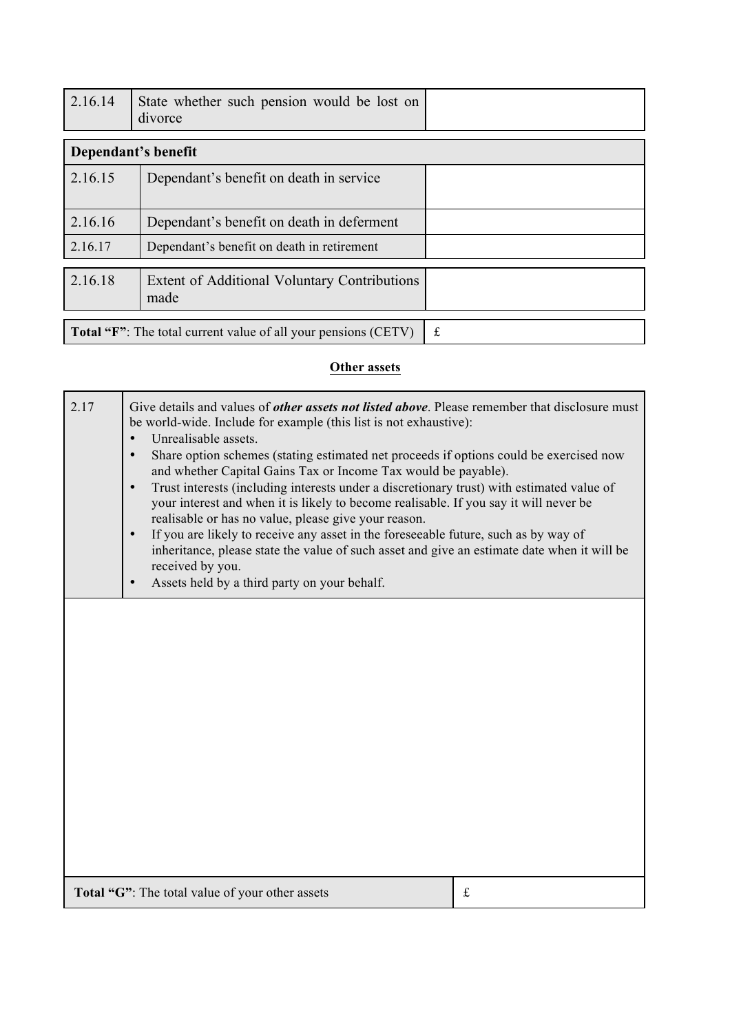| 2.16.14                                                               | State whether such pension would be lost on<br>divorce |   |
|-----------------------------------------------------------------------|--------------------------------------------------------|---|
|                                                                       | Dependant's benefit                                    |   |
| 2.16.15                                                               | Dependant's benefit on death in service                |   |
| 2.16.16                                                               | Dependant's benefit on death in deferment              |   |
| 2.16.17                                                               | Dependant's benefit on death in retirement             |   |
| 2.16.18                                                               | Extent of Additional Voluntary Contributions<br>made   |   |
| <b>Total "F":</b> The total current value of all your pensions (CETV) |                                                        | £ |

# **Other assets**

| 2.17 | Give details and values of <i>other assets not listed above</i> . Please remember that disclosure must<br>be world-wide. Include for example (this list is not exhaustive):<br>Unrealisable assets.<br>Share option schemes (stating estimated net proceeds if options could be exercised now<br>$\bullet$<br>and whether Capital Gains Tax or Income Tax would be payable).<br>Trust interests (including interests under a discretionary trust) with estimated value of<br>$\bullet$<br>your interest and when it is likely to become realisable. If you say it will never be<br>realisable or has no value, please give your reason.<br>If you are likely to receive any asset in the foreseeable future, such as by way of<br>$\bullet$<br>inheritance, please state the value of such asset and give an estimate date when it will be<br>received by you.<br>Assets held by a third party on your behalf.<br>$\bullet$ |   |
|------|-----------------------------------------------------------------------------------------------------------------------------------------------------------------------------------------------------------------------------------------------------------------------------------------------------------------------------------------------------------------------------------------------------------------------------------------------------------------------------------------------------------------------------------------------------------------------------------------------------------------------------------------------------------------------------------------------------------------------------------------------------------------------------------------------------------------------------------------------------------------------------------------------------------------------------|---|
|      |                                                                                                                                                                                                                                                                                                                                                                                                                                                                                                                                                                                                                                                                                                                                                                                                                                                                                                                             |   |
|      | Total "G": The total value of your other assets                                                                                                                                                                                                                                                                                                                                                                                                                                                                                                                                                                                                                                                                                                                                                                                                                                                                             | £ |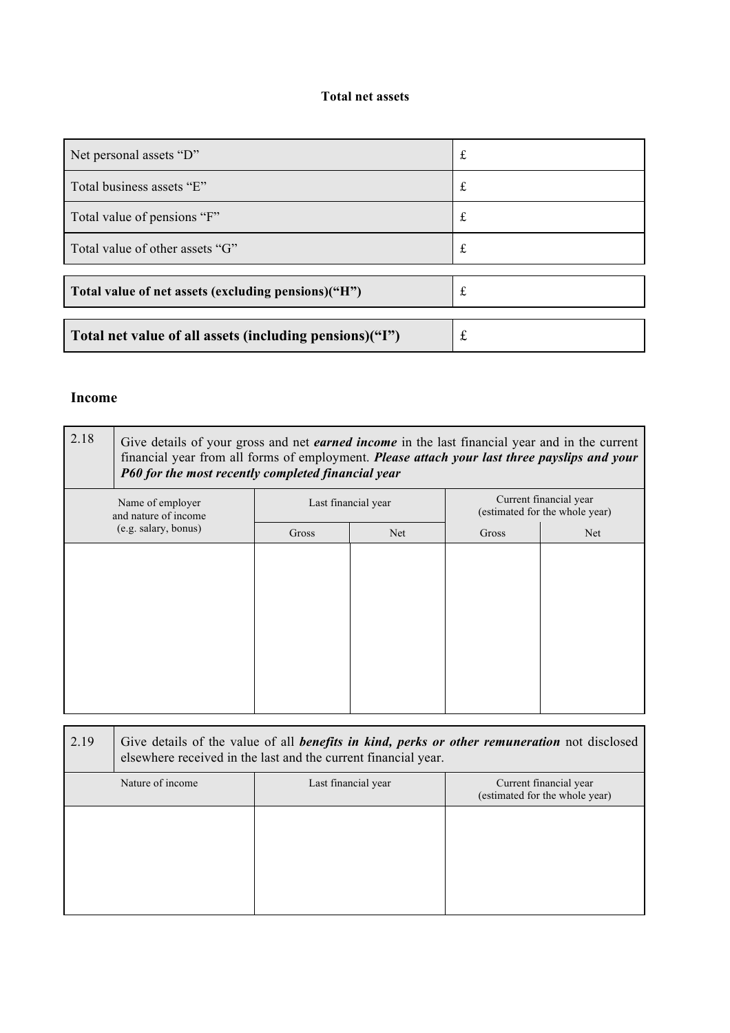### **Total net assets**

| Net personal assets "D"                                 |   |
|---------------------------------------------------------|---|
| Total business assets "E"                               |   |
| Total value of pensions "F"                             | t |
| Total value of other assets "G"                         | t |
|                                                         |   |
| Total value of net assets (excluding pensions)("H")     |   |
| Total net value of all assets (including pensions)("I") | £ |

#### **Income**

| 2.18                                                             | Give details of your gross and net <i>earned income</i> in the last financial year and in the current<br>financial year from all forms of employment. Please attach your last three payslips and your<br>P60 for the most recently completed financial year |                     |      |                                                          |     |
|------------------------------------------------------------------|-------------------------------------------------------------------------------------------------------------------------------------------------------------------------------------------------------------------------------------------------------------|---------------------|------|----------------------------------------------------------|-----|
| Name of employer<br>and nature of income<br>(e.g. salary, bonus) |                                                                                                                                                                                                                                                             | Last financial year |      | Current financial year<br>(estimated for the whole year) |     |
|                                                                  |                                                                                                                                                                                                                                                             | Gross               | Net. | Gross                                                    | Net |
|                                                                  |                                                                                                                                                                                                                                                             |                     |      |                                                          |     |

| 2.19 | Give details of the value of all <i>benefits in kind, perks or other remuneration</i> not disclosed<br>elsewhere received in the last and the current financial year. |                     |                                                          |
|------|-----------------------------------------------------------------------------------------------------------------------------------------------------------------------|---------------------|----------------------------------------------------------|
|      | Nature of income                                                                                                                                                      | Last financial year | Current financial year<br>(estimated for the whole year) |
|      |                                                                                                                                                                       |                     |                                                          |
|      |                                                                                                                                                                       |                     |                                                          |
|      |                                                                                                                                                                       |                     |                                                          |
|      |                                                                                                                                                                       |                     |                                                          |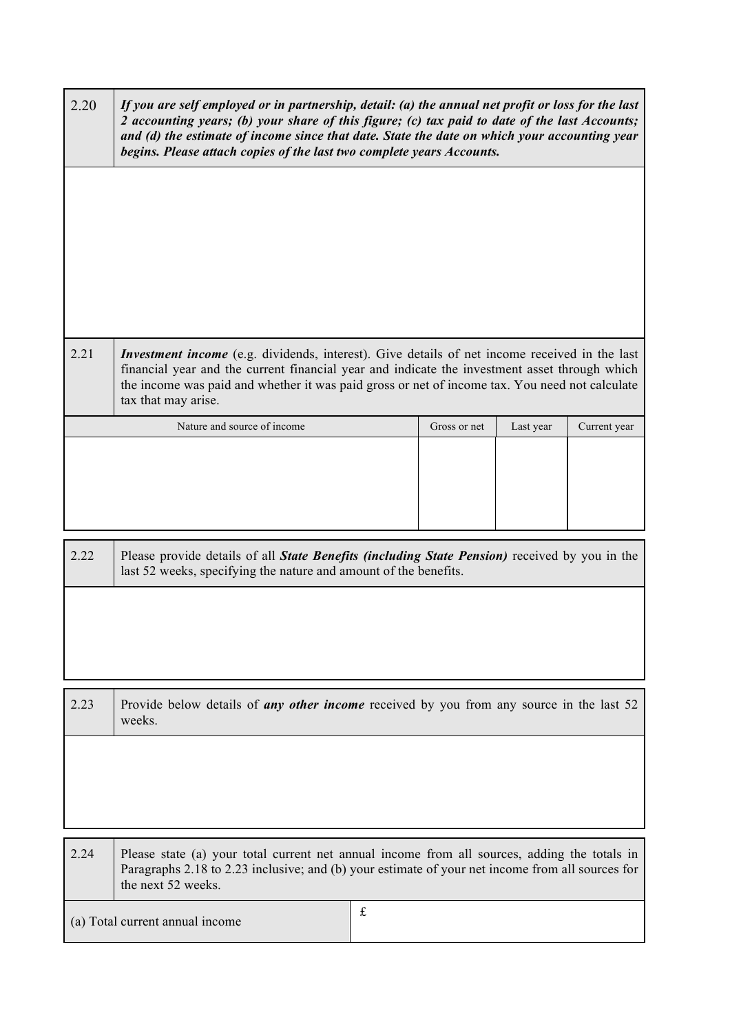| 2.20                                           | If you are self employed or in partnership, detail: (a) the annual net profit or loss for the last<br>2 accounting years; (b) your share of this figure; (c) tax paid to date of the last Accounts;<br>and (d) the estimate of income since that date. State the date on which your accounting year<br>begins. Please attach copies of the last two complete years Accounts. |              |           |              |
|------------------------------------------------|------------------------------------------------------------------------------------------------------------------------------------------------------------------------------------------------------------------------------------------------------------------------------------------------------------------------------------------------------------------------------|--------------|-----------|--------------|
|                                                |                                                                                                                                                                                                                                                                                                                                                                              |              |           |              |
|                                                |                                                                                                                                                                                                                                                                                                                                                                              |              |           |              |
|                                                |                                                                                                                                                                                                                                                                                                                                                                              |              |           |              |
| 2.21                                           | <i>Investment income</i> (e.g. dividends, interest). Give details of net income received in the last<br>financial year and the current financial year and indicate the investment asset through which<br>the income was paid and whether it was paid gross or net of income tax. You need not calculate<br>tax that may arise.                                               |              |           |              |
|                                                | Nature and source of income                                                                                                                                                                                                                                                                                                                                                  | Gross or net | Last year | Current year |
|                                                |                                                                                                                                                                                                                                                                                                                                                                              |              |           |              |
| 2.22                                           | Please provide details of all State Benefits (including State Pension) received by you in the<br>last 52 weeks, specifying the nature and amount of the benefits.                                                                                                                                                                                                            |              |           |              |
|                                                |                                                                                                                                                                                                                                                                                                                                                                              |              |           |              |
|                                                |                                                                                                                                                                                                                                                                                                                                                                              |              |           |              |
| 2.23                                           | Provide below details of <i>any other income</i> received by you from any source in the last 52<br>weeks.                                                                                                                                                                                                                                                                    |              |           |              |
|                                                |                                                                                                                                                                                                                                                                                                                                                                              |              |           |              |
|                                                |                                                                                                                                                                                                                                                                                                                                                                              |              |           |              |
| 2.24                                           | Please state (a) your total current net annual income from all sources, adding the totals in<br>Paragraphs 2.18 to 2.23 inclusive; and (b) your estimate of your net income from all sources for<br>the next 52 weeks.                                                                                                                                                       |              |           |              |
| $\mathbf f$<br>(a) Total current annual income |                                                                                                                                                                                                                                                                                                                                                                              |              |           |              |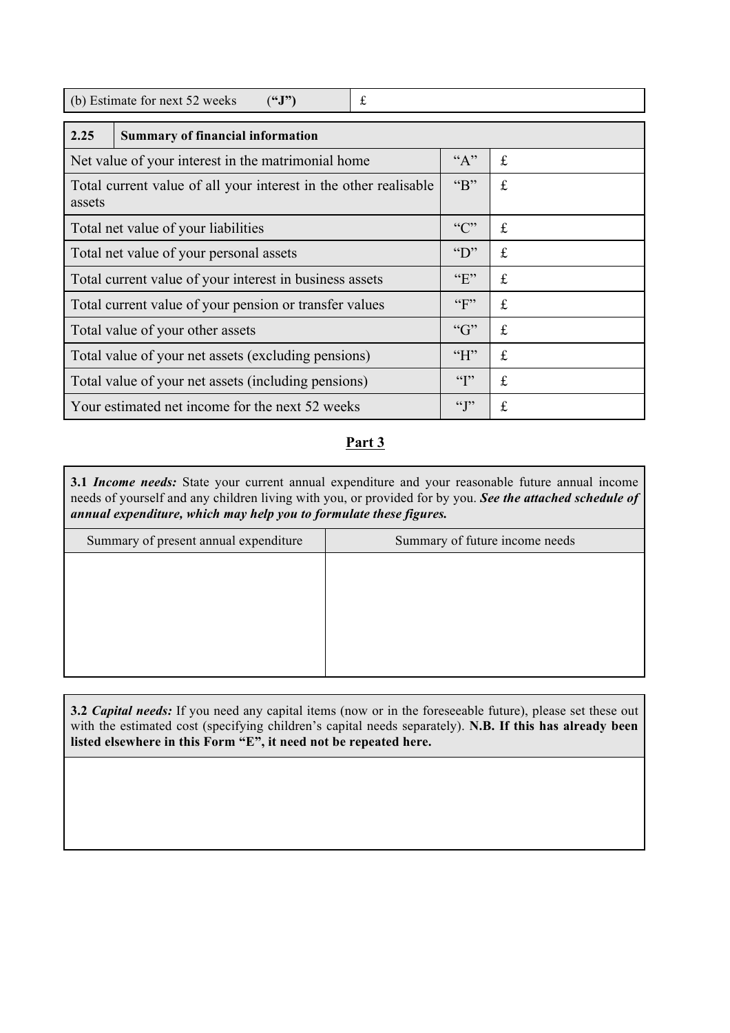| (b) Estimate for next 52 weeks<br>$(^{6}J")$<br>£                          |                  |   |  |  |
|----------------------------------------------------------------------------|------------------|---|--|--|
| 2.25<br><b>Summary of financial information</b>                            |                  |   |  |  |
| Net value of your interest in the matrimonial home                         | $A$ <sup>"</sup> | £ |  |  |
| Total current value of all your interest in the other realisable<br>assets |                  | £ |  |  |
| Total net value of your liabilities                                        |                  | £ |  |  |
| Total net value of your personal assets                                    |                  | £ |  |  |
| Total current value of your interest in business assets                    |                  | £ |  |  |
| Total current value of your pension or transfer values                     |                  | £ |  |  |
| Total value of your other assets                                           |                  | £ |  |  |
| Total value of your net assets (excluding pensions)                        |                  | £ |  |  |
| Total value of your net assets (including pensions)                        |                  | £ |  |  |
| Your estimated net income for the next 52 weeks                            |                  | £ |  |  |

## **Part 3**

**3.1** *Income needs:* State your current annual expenditure and your reasonable future annual income needs of yourself and any children living with you, or provided for by you. *See the attached schedule of annual expenditure, which may help you to formulate these figures.*

| Summary of present annual expenditure | Summary of future income needs |
|---------------------------------------|--------------------------------|
|                                       |                                |
|                                       |                                |
|                                       |                                |
|                                       |                                |
|                                       |                                |
|                                       |                                |

**3.2** *Capital needs:* If you need any capital items (now or in the foreseeable future), please set these out with the estimated cost (specifying children's capital needs separately). **N.B. If this has already been listed elsewhere in this Form "E", it need not be repeated here.**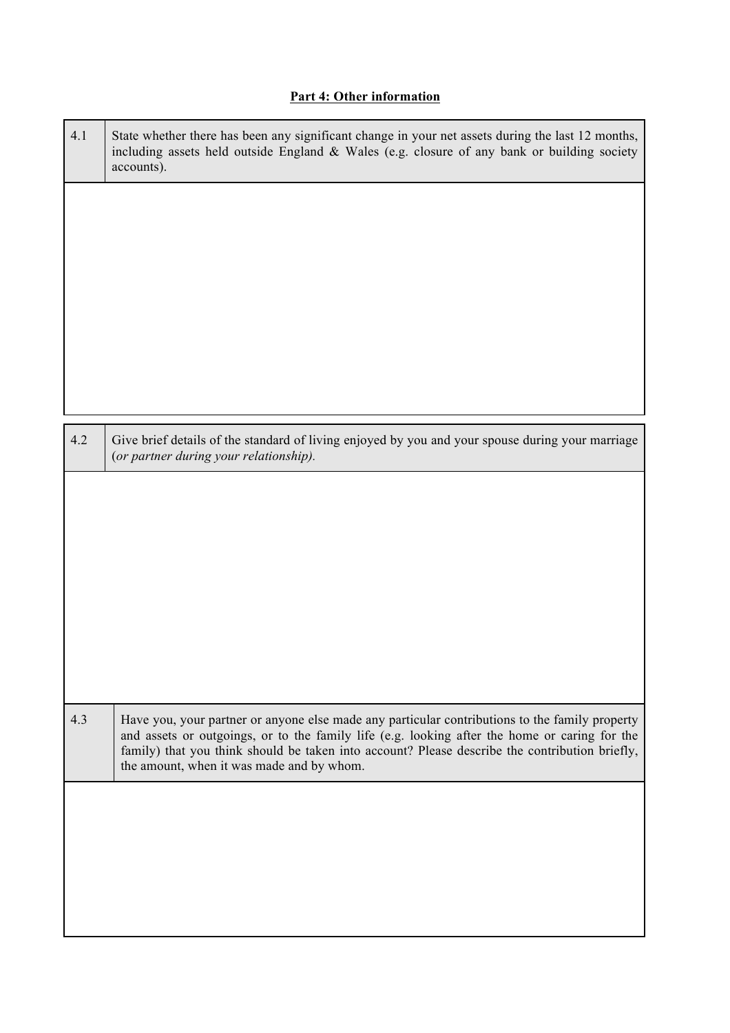## **Part 4: Other information**

| 4.1 | State whether there has been any significant change in your net assets during the last 12 months,<br>including assets held outside England & Wales (e.g. closure of any bank or building society<br>accounts).                                                                                                                                 |
|-----|------------------------------------------------------------------------------------------------------------------------------------------------------------------------------------------------------------------------------------------------------------------------------------------------------------------------------------------------|
|     |                                                                                                                                                                                                                                                                                                                                                |
|     |                                                                                                                                                                                                                                                                                                                                                |
|     |                                                                                                                                                                                                                                                                                                                                                |
|     |                                                                                                                                                                                                                                                                                                                                                |
| 4.2 | Give brief details of the standard of living enjoyed by you and your spouse during your marriage<br>(or partner during your relationship).                                                                                                                                                                                                     |
|     |                                                                                                                                                                                                                                                                                                                                                |
|     |                                                                                                                                                                                                                                                                                                                                                |
|     |                                                                                                                                                                                                                                                                                                                                                |
|     |                                                                                                                                                                                                                                                                                                                                                |
|     |                                                                                                                                                                                                                                                                                                                                                |
| 4.3 | Have you, your partner or anyone else made any particular contributions to the family property<br>and assets or outgoings, or to the family life (e.g. looking after the home or caring for the<br>family) that you think should be taken into account? Please describe the contribution briefly,<br>the amount, when it was made and by whom. |
|     |                                                                                                                                                                                                                                                                                                                                                |
|     |                                                                                                                                                                                                                                                                                                                                                |
|     |                                                                                                                                                                                                                                                                                                                                                |
|     |                                                                                                                                                                                                                                                                                                                                                |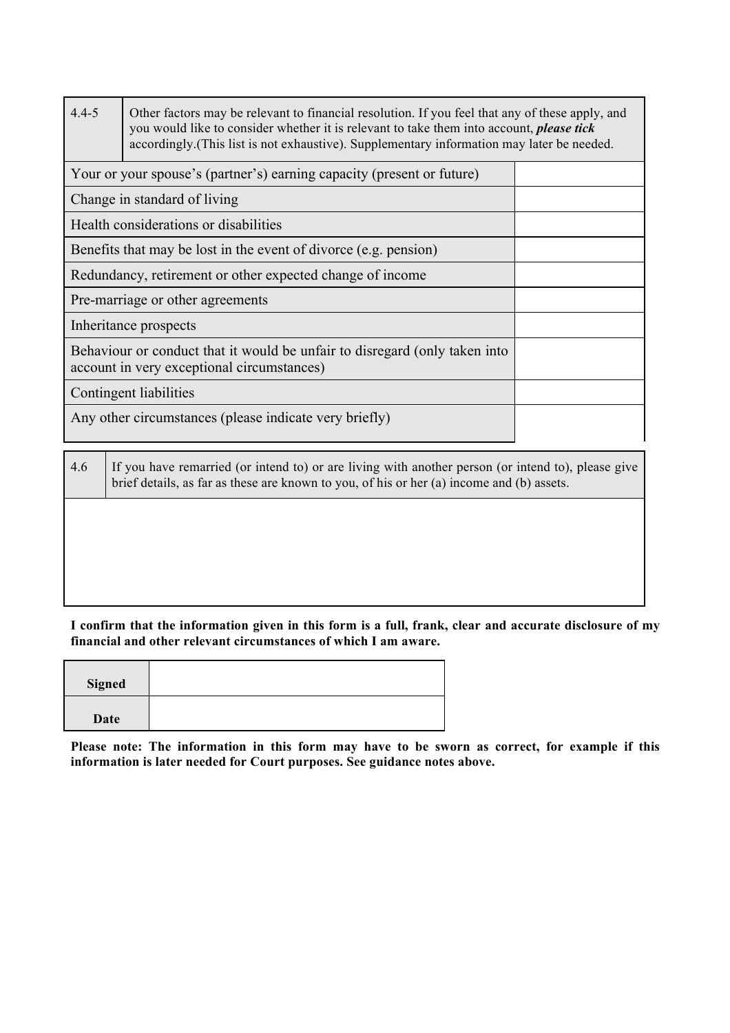| $4.4 - 5$                                                                                                                | Other factors may be relevant to financial resolution. If you feel that any of these apply, and<br>you would like to consider whether it is relevant to take them into account, <i>please tick</i><br>accordingly. (This list is not exhaustive). Supplementary information may later be needed. |  |
|--------------------------------------------------------------------------------------------------------------------------|--------------------------------------------------------------------------------------------------------------------------------------------------------------------------------------------------------------------------------------------------------------------------------------------------|--|
|                                                                                                                          | Your or your spouse's (partner's) earning capacity (present or future)                                                                                                                                                                                                                           |  |
| Change in standard of living                                                                                             |                                                                                                                                                                                                                                                                                                  |  |
| Health considerations or disabilities                                                                                    |                                                                                                                                                                                                                                                                                                  |  |
| Benefits that may be lost in the event of divorce (e.g. pension)                                                         |                                                                                                                                                                                                                                                                                                  |  |
| Redundancy, retirement or other expected change of income                                                                |                                                                                                                                                                                                                                                                                                  |  |
| Pre-marriage or other agreements                                                                                         |                                                                                                                                                                                                                                                                                                  |  |
| Inheritance prospects                                                                                                    |                                                                                                                                                                                                                                                                                                  |  |
| Behaviour or conduct that it would be unfair to disregard (only taken into<br>account in very exceptional circumstances) |                                                                                                                                                                                                                                                                                                  |  |
| Contingent liabilities                                                                                                   |                                                                                                                                                                                                                                                                                                  |  |
| Any other circumstances (please indicate very briefly)                                                                   |                                                                                                                                                                                                                                                                                                  |  |

| 4.6 | If you have remarried (or intend to) or are living with another person (or intend to), please give<br>brief details, as far as these are known to you, of his or her (a) income and (b) assets. |
|-----|-------------------------------------------------------------------------------------------------------------------------------------------------------------------------------------------------|
|     |                                                                                                                                                                                                 |
|     |                                                                                                                                                                                                 |
|     |                                                                                                                                                                                                 |

**I confirm that the information given in this form is a full, frank, clear and accurate disclosure of my financial and other relevant circumstances of which I am aware.**

| <b>Signed</b> |  |
|---------------|--|
| Date          |  |

┱

**Please note: The information in this form may have to be sworn as correct, for example if this information is later needed for Court purposes. See guidance notes above.**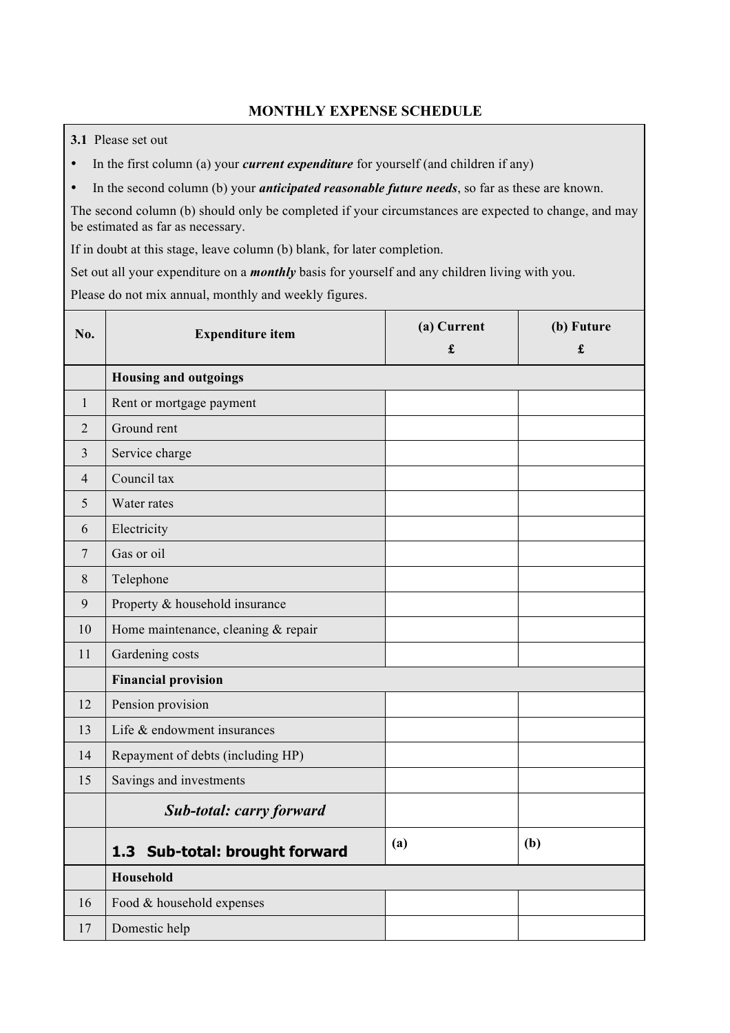## **MONTHLY EXPENSE SCHEDULE**

**3.1** Please set out

- In the first column (a) your *current expenditure* for yourself (and children if any)
- In the second column (b) your *anticipated reasonable future needs*, so far as these are known.

The second column (b) should only be completed if your circumstances are expected to change, and may be estimated as far as necessary.

If in doubt at this stage, leave column (b) blank, for later completion.

Set out all your expenditure on a *monthly* basis for yourself and any children living with you.

Please do not mix annual, monthly and weekly figures.

| No.            | <b>Expenditure item</b>             | (a) Current<br>$\pmb{\mathfrak{L}}$ | (b) Future<br>£ |  |  |
|----------------|-------------------------------------|-------------------------------------|-----------------|--|--|
|                | <b>Housing and outgoings</b>        |                                     |                 |  |  |
| $\mathbf{1}$   | Rent or mortgage payment            |                                     |                 |  |  |
| $\overline{2}$ | Ground rent                         |                                     |                 |  |  |
| 3              | Service charge                      |                                     |                 |  |  |
| $\overline{4}$ | Council tax                         |                                     |                 |  |  |
| 5              | Water rates                         |                                     |                 |  |  |
| 6              | Electricity                         |                                     |                 |  |  |
| 7              | Gas or oil                          |                                     |                 |  |  |
| 8              | Telephone                           |                                     |                 |  |  |
| 9              | Property & household insurance      |                                     |                 |  |  |
| 10             | Home maintenance, cleaning & repair |                                     |                 |  |  |
| 11             | Gardening costs                     |                                     |                 |  |  |
|                | <b>Financial provision</b>          |                                     |                 |  |  |
| 12             | Pension provision                   |                                     |                 |  |  |
| 13             | Life & endowment insurances         |                                     |                 |  |  |
| 14             | Repayment of debts (including HP)   |                                     |                 |  |  |
| 15             | Savings and investments             |                                     |                 |  |  |
|                | Sub-total: carry forward            |                                     |                 |  |  |
|                | Sub-total: brought forward<br>1.3   | (a)                                 | (b)             |  |  |
|                | Household                           |                                     |                 |  |  |
| 16             | Food & household expenses           |                                     |                 |  |  |
| 17             | Domestic help                       |                                     |                 |  |  |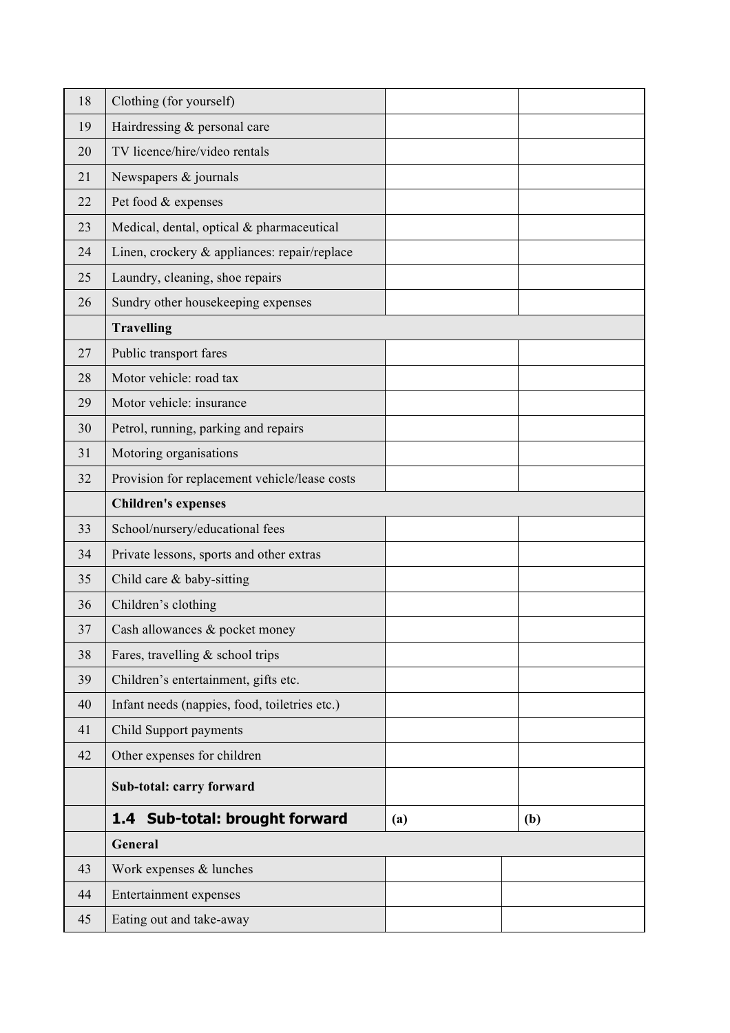| 18 | Clothing (for yourself)                       |     |     |
|----|-----------------------------------------------|-----|-----|
| 19 | Hairdressing & personal care                  |     |     |
| 20 | TV licence/hire/video rentals                 |     |     |
| 21 | Newspapers & journals                         |     |     |
| 22 | Pet food & expenses                           |     |     |
| 23 | Medical, dental, optical & pharmaceutical     |     |     |
| 24 | Linen, crockery & appliances: repair/replace  |     |     |
| 25 | Laundry, cleaning, shoe repairs               |     |     |
| 26 | Sundry other housekeeping expenses            |     |     |
|    | <b>Travelling</b>                             |     |     |
| 27 | Public transport fares                        |     |     |
| 28 | Motor vehicle: road tax                       |     |     |
| 29 | Motor vehicle: insurance                      |     |     |
| 30 | Petrol, running, parking and repairs          |     |     |
| 31 | Motoring organisations                        |     |     |
| 32 | Provision for replacement vehicle/lease costs |     |     |
|    | <b>Children's expenses</b>                    |     |     |
| 33 | School/nursery/educational fees               |     |     |
| 34 | Private lessons, sports and other extras      |     |     |
| 35 | Child care & baby-sitting                     |     |     |
| 36 | Children's clothing                           |     |     |
| 37 | Cash allowances & pocket money                |     |     |
| 38 | Fares, travelling & school trips              |     |     |
| 39 | Children's entertainment, gifts etc.          |     |     |
| 40 | Infant needs (nappies, food, toiletries etc.) |     |     |
| 41 | Child Support payments                        |     |     |
| 42 | Other expenses for children                   |     |     |
|    | Sub-total: carry forward                      |     |     |
|    | 1.4 Sub-total: brought forward                | (a) | (b) |
|    | General                                       |     |     |
| 43 | Work expenses & lunches                       |     |     |
| 44 | Entertainment expenses                        |     |     |
| 45 | Eating out and take-away                      |     |     |